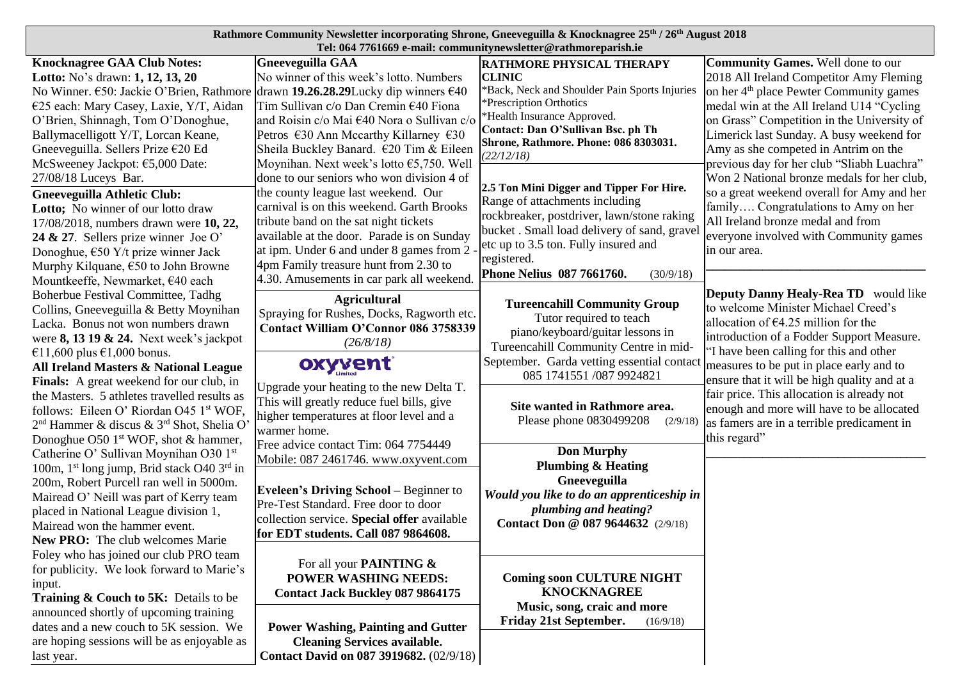## **Rathmore Community Newsletter incorporating Shrone, Gneeveguilla & Knocknagree 25th / 26th August 2018 Tel: 064 7761669 e-mail: communitynewsletter@rathmoreparish.ie**

| <b>Knocknagree GAA Club Notes:</b>                                 | <b>Gneeveguilla GAA</b>                                                         | <b>RATHMORE PHYSICAL THERAPY</b>                    | <b>Community Games.</b> Well done to our            |
|--------------------------------------------------------------------|---------------------------------------------------------------------------------|-----------------------------------------------------|-----------------------------------------------------|
| Lotto: No's drawn: 1, 12, 13, 20                                   | No winner of this week's lotto. Numbers                                         | <b>CLINIC</b>                                       | 2018 All Ireland Competitor Amy Fleming             |
|                                                                    | No Winner. €50: Jackie O'Brien, Rathmore drawn 19.26.28.29Lucky dip winners €40 | *Back, Neck and Shoulder Pain Sports Injuries       | on her 4 <sup>th</sup> place Pewter Community games |
| €25 each: Mary Casey, Laxie, Y/T, Aidan                            | Tim Sullivan c/o Dan Cremin €40 Fiona                                           | *Prescription Orthotics                             | medal win at the All Ireland U14 "Cycling           |
| O'Brien, Shinnagh, Tom O'Donoghue,                                 | and Roisin c/o Mai €40 Nora o Sullivan c/o                                      | *Health Insurance Approved.                         | on Grass" Competition in the University of          |
| Ballymacelligott Y/T, Lorcan Keane,                                | Petros $\epsilon$ 30 Ann Mccarthy Killarney $\epsilon$ 30                       | Contact: Dan O'Sullivan Bsc. ph Th                  | Limerick last Sunday. A busy weekend for            |
| Gneeveguilla. Sellers Prize €20 Ed                                 | Sheila Buckley Banard. €20 Tim & Eileen                                         | Shrone, Rathmore. Phone: 086 8303031.<br>(22/12/18) | Amy as she competed in Antrim on the                |
| McSweeney Jackpot: €5,000 Date:                                    | Moynihan. Next week's lotto €5,750. Well                                        |                                                     | previous day for her club "Sliabh Luachra"          |
| 27/08/18 Luceys Bar.                                               | done to our seniors who won division 4 of                                       |                                                     | Won 2 National bronze medals for her club,          |
| <b>Gneeveguilla Athletic Club:</b>                                 | the county league last weekend. Our                                             | 2.5 Ton Mini Digger and Tipper For Hire.            | so a great weekend overall for Amy and her          |
| Lotto; No winner of our lotto draw                                 | carnival is on this weekend. Garth Brooks                                       | Range of attachments including                      | family Congratulations to Amy on her                |
| 17/08/2018, numbers drawn were 10, 22,                             | tribute band on the sat night tickets                                           | rockbreaker, postdriver, lawn/stone raking          | All Ireland bronze medal and from                   |
| 24 & 27. Sellers prize winner Joe O'                               | available at the door. Parade is on Sunday                                      | bucket. Small load delivery of sand, gravel         | everyone involved with Community games              |
| Donoghue, $\epsilon$ 50 Y/t prize winner Jack                      | at ipm. Under 6 and under 8 games from 2                                        | etc up to 3.5 ton. Fully insured and                | in our area.                                        |
| Murphy Kilquane, €50 to John Browne                                | 4pm Family treasure hunt from 2.30 to                                           | registered.                                         |                                                     |
| Mountkeeffe, Newmarket, €40 each                                   | 4.30. Amusements in car park all weekend.                                       | Phone Nelius 087 7661760.<br>(30/9/18)              |                                                     |
| Boherbue Festival Committee, Tadhg                                 |                                                                                 |                                                     | <b>Deputy Danny Healy-Rea TD</b> would like         |
| Collins, Gneeveguilla & Betty Moynihan                             | <b>Agricultural</b><br>Spraying for Rushes, Docks, Ragworth etc.                | <b>Tureencahill Community Group</b>                 | to welcome Minister Michael Creed's                 |
| Lacka. Bonus not won numbers drawn                                 |                                                                                 | Tutor required to teach                             | allocation of $€4.25$ million for the               |
| were $8, 1319$ & 24. Next week's jackpot                           | Contact William O'Connor 086 3758339                                            | piano/keyboard/guitar lessons in                    | introduction of a Fodder Support Measure.           |
| €11,600 plus €1,000 bonus.                                         | (26/8/18)                                                                       | Tureencahill Community Centre in mid-               | "I have been calling for this and other             |
| All Ireland Masters & National League                              | oxyvent                                                                         | September. Garda vetting essential contact          | measures to be put in place early and to            |
| Finals: A great weekend for our club, in                           |                                                                                 | 085 1741551 /087 9924821                            | ensure that it will be high quality and at a        |
| the Masters. 5 athletes travelled results as                       | Upgrade your heating to the new Delta T.                                        |                                                     | fair price. This allocation is already not          |
| follows: Eileen O' Riordan O45 1 <sup>st</sup> WOF,                | This will greatly reduce fuel bills, give                                       | Site wanted in Rathmore area.                       | enough and more will have to be allocated           |
| 2 <sup>nd</sup> Hammer & discus & 3 <sup>rd</sup> Shot, Shelia O'  | higher temperatures at floor level and a                                        | Please phone 0830499208<br>(2/9/18)                 | as famers are in a terrible predicament in          |
| Donoghue O50 1 <sup>st</sup> WOF, shot & hammer,                   | warmer home.                                                                    |                                                     | this regard"                                        |
| Catherine O' Sullivan Moynihan O30 1st                             | Free advice contact Tim: 064 7754449                                            | <b>Don Murphy</b>                                   |                                                     |
| 100m, 1 <sup>st</sup> long jump, Brid stack O40 3 <sup>rd</sup> in | Mobile: 087 2461746. www.oxyvent.com                                            | <b>Plumbing &amp; Heating</b>                       |                                                     |
| 200m, Robert Purcell ran well in 5000m.                            |                                                                                 | Gneeveguilla                                        |                                                     |
| Mairead O' Neill was part of Kerry team                            | <b>Eveleen's Driving School – Beginner to</b>                                   | Would you like to do an apprenticeship in           |                                                     |
| placed in National League division 1,                              | Pre-Test Standard. Free door to door                                            | plumbing and heating?                               |                                                     |
| Mairead won the hammer event.                                      | collection service. Special offer available                                     | Contact Don @ 087 9644632 (2/9/18)                  |                                                     |
| <b>New PRO:</b> The club welcomes Marie                            | for EDT students. Call 087 9864608.                                             |                                                     |                                                     |
| Foley who has joined our club PRO team                             |                                                                                 |                                                     |                                                     |
| for publicity. We look forward to Marie's                          | For all your <b>PAINTING &amp;</b>                                              |                                                     |                                                     |
| input.                                                             | <b>POWER WASHING NEEDS:</b>                                                     | <b>Coming soon CULTURE NIGHT</b>                    |                                                     |
| Training & Couch to 5K: Details to be                              | <b>Contact Jack Buckley 087 9864175</b>                                         | <b>KNOCKNAGREE</b>                                  |                                                     |
| announced shortly of upcoming training                             |                                                                                 | Music, song, craic and more                         |                                                     |
|                                                                    |                                                                                 |                                                     |                                                     |
|                                                                    |                                                                                 | <b>Friday 21st September.</b><br>(16/9/18)          |                                                     |
| dates and a new couch to 5K session. We                            | <b>Power Washing, Painting and Gutter</b>                                       |                                                     |                                                     |
| are hoping sessions will be as enjoyable as<br>last year.          | <b>Cleaning Services available.</b><br>Contact David on 087 3919682. (02/9/18)  |                                                     |                                                     |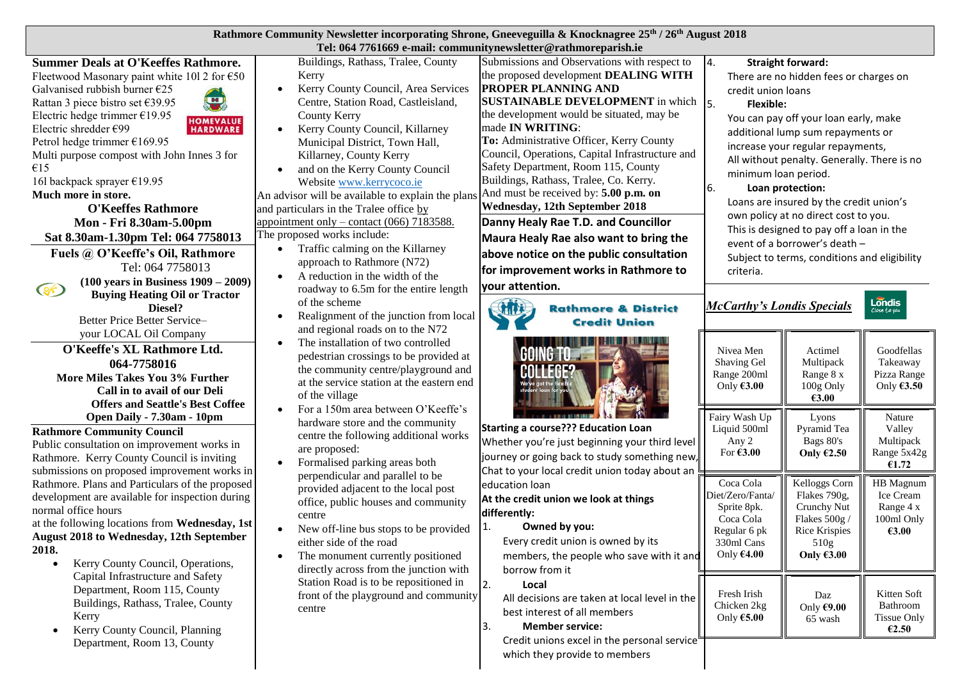| <b>Rathmore Community Newsletter incorporating Shrone, Gneeveguilla &amp; Knocknagree 25th / 26th August 2018</b> |  |
|-------------------------------------------------------------------------------------------------------------------|--|
| Tel: 064 7761669 e-mail: communitynewsletter@rathmoreparish.ie                                                    |  |

**Summer Deals at O'Keeffes Rathmore.** Fleetwood Masonary paint white 101 2 for  $\epsilon$ 50 Galvanised rubbish burner €25 Rattan 3 piece bistro set €39.95 Electric hedge trimmer €19.95 Electric shredder €99 Petrol hedge trimmer €169.95

Multi purpose compost with John Innes 3 for €15

16l backpack sprayer €19.95

# **Much more in store.**

 $\circledast$ 

**O'Keeffes Rathmore Mon - Fri 8.30am-5.00pm Sat 8.30am-1.30pm Tel: 064 7758013**

 $\left( \mathbf{H} \right)$ **HOMEVALUE HARDWARE** 

**Fuels @ O'Keeffe's Oil, Rathmore** Tel: 064 7758013

> **(100 years in Business 1909 – 2009) Buying Heating Oil or Tractor Diesel?**

Better Price Better Service– your LOCAL Oil Company

**O'Keeffe's XL Rathmore Ltd. 064-7758016 More Miles Takes You 3% Further Call in to avail of our Deli Offers and Seattle's Best Coffee Open Daily - 7.30am - 10pm**

**Rathmore Community Council** Public consultation on improvement works in Rathmore. Kerry County Council is inviting submissions on proposed improvement works in Rathmore. Plans and Particulars of the proposed development are available for inspection during normal office hours

at the following locations from **Wednesday, 1st August 2018 to Wednesday, 12th September 2018.** 

- Kerry County Council, Operations, Capital Infrastructure and Safety Department, Room 115, County Buildings, Rathass, Tralee, County Kerry
- Kerry County Council, Planning Department, Room 13, County

Buildings, Rathass, Tralee, County Kerry

- Kerry County Council, Area Services Centre, Station Road, Castleisland, County Kerry
- Kerry County Council, Killarney Municipal District, Town Hall, Killarney, County Kerry
- and on the Kerry County Council Websit[e www.kerrycoco.ie](http://www.kerrycoco.ie/) An advisor will be available to explain the plans and particulars in the Tralee office by appointment only – contact (066) 7183588. The proposed works include:
	- Traffic calming on the Killarney approach to Rathmore (N72)
	- A reduction in the width of the roadway to 6.5m for the entire length of the scheme
	- Realignment of the junction from local and regional roads on to the N72
		- The installation of two controlled pedestrian crossings to be provided at the community centre/playground and at the service station at the eastern end of the village
	- For a 150m area between O'Keeffe's hardware store and the community centre the following additional works are proposed:
	- Formalised parking areas both perpendicular and parallel to be provided adjacent to the local post office, public houses and community centre
	- New off-line bus stops to be provided either side of the road
	- The monument currently positioned directly across from the junction with Station Road is to be repositioned in front of the playground and community centre

Submissions and Observations with respect to the proposed development **DEALING WITH PROPER PLANNING AND SUSTAINABLE DEVELOPMENT** in which  $\vert_5$ the development would be situated, may be made **IN WRITING**: **To:** Administrative Officer, Kerry County Council, Operations, Capital Infrastructure and Safety Department, Room 115, County Buildings, Rathass, Tralee, Co. Kerry. And must be received by: **5.00 p.m. on Wednesday, 12th September 2018**

# **Danny Healy Rae T.D. and Councillor**

**Maura Healy Rae also want to bring the above notice on the public consultation for improvement works in Rathmore to your attention.**

#### *McCarthy's Londis Specials* CHIT **Rathmore & District Credit Union** Nivea Men Actimel Shaving Gel Multipack Range 200ml Range 8 x Only **€3.00** 100g Only **€3.00** Fairy Wash Up Lyons **Starting a course??? Education Loan**  Liquid 500ml Pyramid Tea Any 2 Bags 80's Whether you're just beginning your third level For **€3.00 Only €2.50** journey or going back to study something new, Chat to your local credit union today about an Kelloggs Corn Coca Cola education loan Flakes 790g, Diet/Zero/Fanta/ **At the credit union we look at things**  Sprite 8pk. Crunchy Nut **differently:** Coca Cola Flakes 500g / 1. **Owned by you:** Regular 6 pk Rice Krispies Every credit union is owned by its 330ml Cans 510g members, the people who save with it and Only **€4.00 Only €3.00** borrow from it 2. **Local** Fresh Irish Daz All decisions are taken at local level in the Chicken 2kg Only **€9.00**  best interest of all members Only **€5.00** 65 wash 3. **Member service:** Credit unions excel in the personal service

which they provide to members

# 4. **Straight forward:**

There are no hidden fees or charges on credit union loans

### 5. **Flexible:**

You can pay off your loan early, make additional lump sum repayments or increase your regular repayments, All without penalty. Generally. There is no minimum loan period.

### 6. **Loan protection:**

Loans are insured by the credit union's own policy at no direct cost to you. This is designed to pay off a loan in the event of a borrower's death – Subject to terms, conditions and eligibility

criteria.

Goodfellas Takeaway Pizza Range Only **€3.50**

Londis

Close to you

Nature Valley Multipack Range 5x42g **€1.72**

HB Magnum Ice Cream Range 4 x 100ml Only **€3.00**

Kitten Soft Bathroom Tissue Only **€2.50**